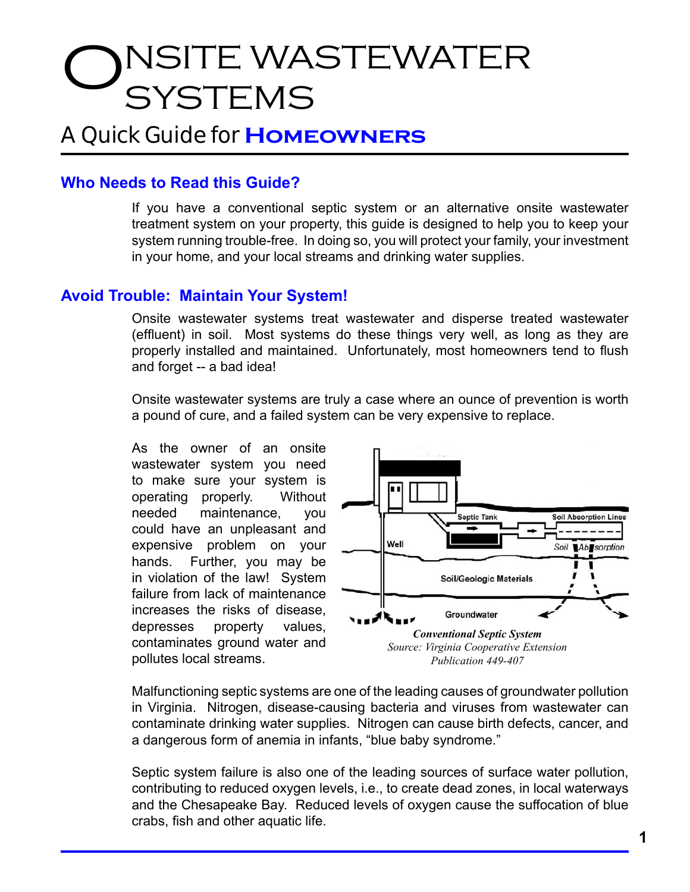# NSITE WASTEWATER **SYSTEMS**

# A Quick Guide for **Homeowners**

## **Who Needs to Read this Guide?**

If you have a conventional septic system or an alternative onsite wastewater treatment system on your property, this guide is designed to help you to keep your system running trouble-free. In doing so, you will protect your family, your investment in your home, and your local streams and drinking water supplies.

#### **Avoid Trouble: Maintain Your System!**

Onsite wastewater systems treat wastewater and disperse treated wastewater (effluent) in soil. Most systems do these things very well, as long as they are properly installed and maintained. Unfortunately, most homeowners tend to flush and forget -- a bad idea!

Onsite wastewater systems are truly a case where an ounce of prevention is worth a pound of cure, and a failed system can be very expensive to replace.

As the owner of an onsite wastewater system you need to make sure your system is operating properly. Without needed maintenance, you could have an unpleasant and expensive problem on your hands. Further, you may be in violation of the law! System failure from lack of maintenance increases the risks of disease, depresses property values, contaminates ground water and pollutes local streams.



Malfunctioning septic systems are one of the leading causes of groundwater pollution in Virginia. Nitrogen, disease-causing bacteria and viruses from wastewater can contaminate drinking water supplies. Nitrogen can cause birth defects, cancer, and a dangerous form of anemia in infants, "blue baby syndrome."

Septic system failure is also one of the leading sources of surface water pollution, contributing to reduced oxygen levels, i.e., to create dead zones, in local waterways and the Chesapeake Bay. Reduced levels of oxygen cause the suffocation of blue crabs, fish and other aquatic life.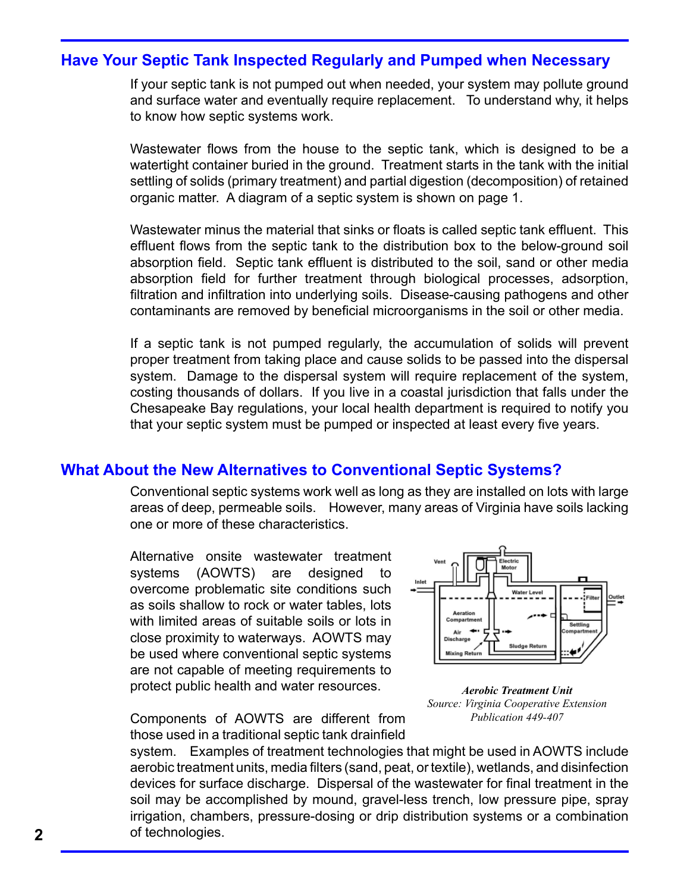#### **Have Your Septic Tank Inspected Regularly and Pumped when Necessary**

If your septic tank is not pumped out when needed, your system may pollute ground and surface water and eventually require replacement. To understand why, it helps to know how septic systems work.

Wastewater flows from the house to the septic tank, which is designed to be a watertight container buried in the ground. Treatment starts in the tank with the initial settling of solids (primary treatment) and partial digestion (decomposition) of retained organic matter. A diagram of a septic system is shown on page 1.

Wastewater minus the material that sinks or floats is called septic tank effluent. This effluent flows from the septic tank to the distribution box to the below-ground soil absorption field. Septic tank effluent is distributed to the soil, sand or other media absorption field for further treatment through biological processes, adsorption, filtration and infiltration into underlying soils. Disease-causing pathogens and other contaminants are removed by beneficial microorganisms in the soil or other media.

If a septic tank is not pumped regularly, the accumulation of solids will prevent proper treatment from taking place and cause solids to be passed into the dispersal system. Damage to the dispersal system will require replacement of the system, costing thousands of dollars. If you live in a coastal jurisdiction that falls under the Chesapeake Bay regulations, your local health department is required to notify you that your septic system must be pumped or inspected at least every five years.

### **What About the New Alternatives to Conventional Septic Systems?**

Conventional septic systems work well as long as they are installed on lots with large areas of deep, permeable soils. However, many areas of Virginia have soils lacking one or more of these characteristics.

Alternative onsite wastewater treatment systems (AOWTS) are designed to overcome problematic site conditions such as soils shallow to rock or water tables, lots with limited areas of suitable soils or lots in close proximity to waterways. AOWTS may be used where conventional septic systems are not capable of meeting requirements to protect public health and water resources.



*Aerobic Treatment Unit Source: Virginia Cooperative Extension Publication 449-407* 

Components of AOWTS are different from those used in a traditional septic tank drainfield

system. Examples of treatment technologies that might be used in AOWTS include aerobic treatment units, media filters (sand, peat, or textile), wetlands, and disinfection devices for surface discharge. Dispersal of the wastewater for final treatment in the soil may be accomplished by mound, gravel-less trench, low pressure pipe, spray irrigation, chambers, pressure-dosing or drip distribution systems or a combination of technologies.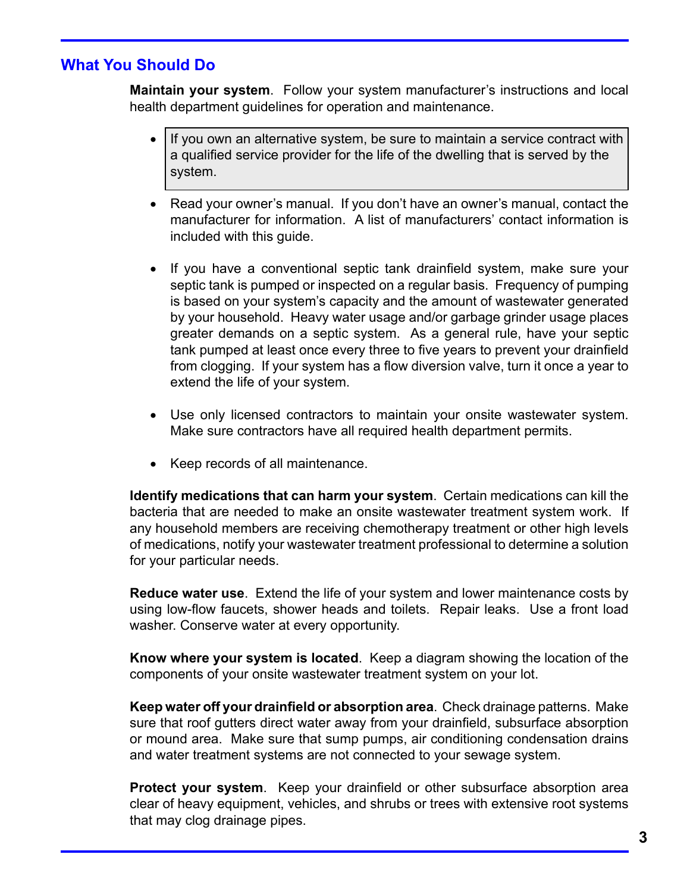# **What You Should Do**

**Maintain your system**. Follow your system manufacturer's instructions and local health department guidelines for operation and maintenance.

- If you own an alternative system, be sure to maintain a service contract with a qualified service provider for the life of the dwelling that is served by the system.
- Read your owner's manual. If you don't have an owner's manual, contact the manufacturer for information. A list of manufacturers' contact information is included with this guide.
- If you have a conventional septic tank drainfield system, make sure your septic tank is pumped or inspected on a regular basis. Frequency of pumping is based on your system's capacity and the amount of wastewater generated by your household. Heavy water usage and/or garbage grinder usage places greater demands on a septic system. As a general rule, have your septic tank pumped at least once every three to five years to prevent your drainfield from clogging. If your system has a flow diversion valve, turn it once a year to extend the life of your system.
- Use only licensed contractors to maintain your onsite wastewater system. Make sure contractors have all required health department permits.
- Keep records of all maintenance.

**Identify medications that can harm your system**. Certain medications can kill the bacteria that are needed to make an onsite wastewater treatment system work. If any household members are receiving chemotherapy treatment or other high levels of medications, notify your wastewater treatment professional to determine a solution for your particular needs.

**Reduce water use**. Extend the life of your system and lower maintenance costs by using low-flow faucets, shower heads and toilets. Repair leaks. Use a front load washer. Conserve water at every opportunity.

**Know where your system is located**. Keep a diagram showing the location of the components of your onsite wastewater treatment system on your lot.

**Keep water off your drainfield or absorption area**. Check drainage patterns. Make sure that roof gutters direct water away from your drainfield, subsurface absorption or mound area. Make sure that sump pumps, air conditioning condensation drains and water treatment systems are not connected to your sewage system.

**Protect your system**. Keep your drainfield or other subsurface absorption area clear of heavy equipment, vehicles, and shrubs or trees with extensive root systems that may clog drainage pipes.